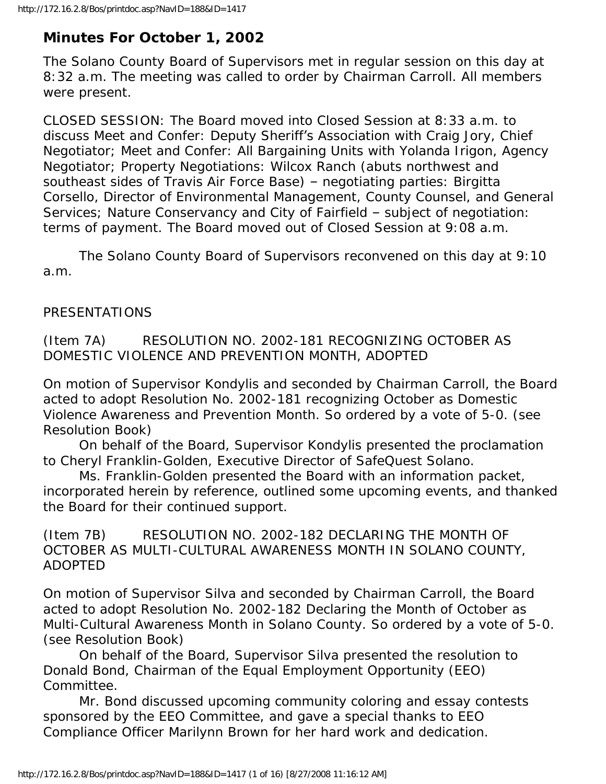# **Minutes For October 1, 2002**

The Solano County Board of Supervisors met in regular session on this day at 8:32 a.m. The meeting was called to order by Chairman Carroll. All members were present.

CLOSED SESSION: The Board moved into Closed Session at 8:33 a.m. to discuss Meet and Confer: Deputy Sheriff's Association with Craig Jory, Chief Negotiator; Meet and Confer: All Bargaining Units with Yolanda Irigon, Agency Negotiator; Property Negotiations: Wilcox Ranch (abuts northwest and southeast sides of Travis Air Force Base) – negotiating parties: Birgitta Corsello, Director of Environmental Management, County Counsel, and General Services; Nature Conservancy and City of Fairfield – subject of negotiation: terms of payment. The Board moved out of Closed Session at 9:08 a.m.

 The Solano County Board of Supervisors reconvened on this day at 9:10 a.m.

# PRESENTATIONS

(Item 7A) RESOLUTION NO. 2002-181 RECOGNIZING OCTOBER AS DOMESTIC VIOLENCE AND PREVENTION MONTH, ADOPTED

On motion of Supervisor Kondylis and seconded by Chairman Carroll, the Board acted to adopt Resolution No. 2002-181 recognizing October as Domestic Violence Awareness and Prevention Month. So ordered by a vote of 5-0. (see Resolution Book)

 On behalf of the Board, Supervisor Kondylis presented the proclamation to Cheryl Franklin-Golden, Executive Director of SafeQuest Solano.

 Ms. Franklin-Golden presented the Board with an information packet, incorporated herein by reference, outlined some upcoming events, and thanked the Board for their continued support.

(Item 7B) RESOLUTION NO. 2002-182 DECLARING THE MONTH OF OCTOBER AS MULTI-CULTURAL AWARENESS MONTH IN SOLANO COUNTY, ADOPTED

On motion of Supervisor Silva and seconded by Chairman Carroll, the Board acted to adopt Resolution No. 2002-182 Declaring the Month of October as Multi-Cultural Awareness Month in Solano County. So ordered by a vote of 5-0. (see Resolution Book)

 On behalf of the Board, Supervisor Silva presented the resolution to Donald Bond, Chairman of the Equal Employment Opportunity (EEO) Committee.

 Mr. Bond discussed upcoming community coloring and essay contests sponsored by the EEO Committee, and gave a special thanks to EEO Compliance Officer Marilynn Brown for her hard work and dedication.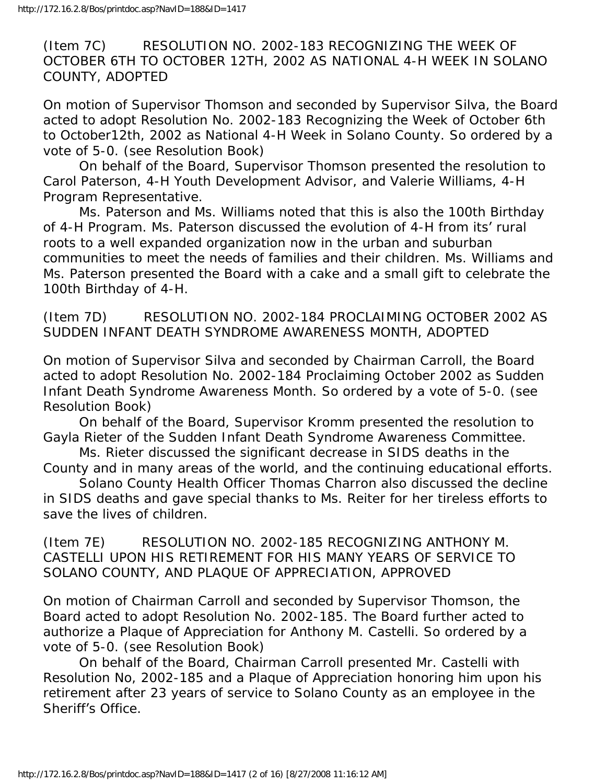(Item 7C) RESOLUTION NO. 2002-183 RECOGNIZING THE WEEK OF OCTOBER 6TH TO OCTOBER 12TH, 2002 AS NATIONAL 4-H WEEK IN SOLANO COUNTY, ADOPTED

On motion of Supervisor Thomson and seconded by Supervisor Silva, the Board acted to adopt Resolution No. 2002-183 Recognizing the Week of October 6th to October12th, 2002 as National 4-H Week in Solano County. So ordered by a vote of 5-0. (see Resolution Book)

 On behalf of the Board, Supervisor Thomson presented the resolution to Carol Paterson, 4-H Youth Development Advisor, and Valerie Williams, 4-H Program Representative.

 Ms. Paterson and Ms. Williams noted that this is also the 100th Birthday of 4-H Program. Ms. Paterson discussed the evolution of 4-H from its' rural roots to a well expanded organization now in the urban and suburban communities to meet the needs of families and their children. Ms. Williams and Ms. Paterson presented the Board with a cake and a small gift to celebrate the 100th Birthday of 4-H.

(Item 7D) RESOLUTION NO. 2002-184 PROCLAIMING OCTOBER 2002 AS SUDDEN INFANT DEATH SYNDROME AWARENESS MONTH, ADOPTED

On motion of Supervisor Silva and seconded by Chairman Carroll, the Board acted to adopt Resolution No. 2002-184 Proclaiming October 2002 as Sudden Infant Death Syndrome Awareness Month. So ordered by a vote of 5-0. (see Resolution Book)

 On behalf of the Board, Supervisor Kromm presented the resolution to Gayla Rieter of the Sudden Infant Death Syndrome Awareness Committee.

 Ms. Rieter discussed the significant decrease in SIDS deaths in the County and in many areas of the world, and the continuing educational efforts.

 Solano County Health Officer Thomas Charron also discussed the decline in SIDS deaths and gave special thanks to Ms. Reiter for her tireless efforts to save the lives of children.

(Item 7E) RESOLUTION NO. 2002-185 RECOGNIZING ANTHONY M. CASTELLI UPON HIS RETIREMENT FOR HIS MANY YEARS OF SERVICE TO SOLANO COUNTY, AND PLAQUE OF APPRECIATION, APPROVED

On motion of Chairman Carroll and seconded by Supervisor Thomson, the Board acted to adopt Resolution No. 2002-185. The Board further acted to authorize a Plaque of Appreciation for Anthony M. Castelli. So ordered by a vote of 5-0. (see Resolution Book)

 On behalf of the Board, Chairman Carroll presented Mr. Castelli with Resolution No, 2002-185 and a Plaque of Appreciation honoring him upon his retirement after 23 years of service to Solano County as an employee in the Sheriff's Office.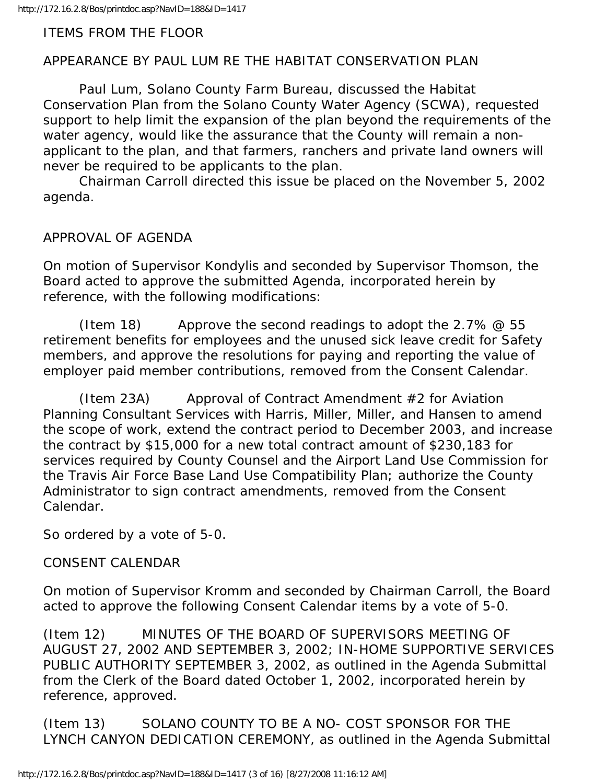#### ITEMS FROM THE FLOOR

### APPEARANCE BY PAUL LUM RE THE HABITAT CONSERVATION PLAN

 Paul Lum, Solano County Farm Bureau, discussed the Habitat Conservation Plan from the Solano County Water Agency (SCWA), requested support to help limit the expansion of the plan beyond the requirements of the water agency, would like the assurance that the County will remain a nonapplicant to the plan, and that farmers, ranchers and private land owners will never be required to be applicants to the plan.

 Chairman Carroll directed this issue be placed on the November 5, 2002 agenda.

APPROVAL OF AGENDA

On motion of Supervisor Kondylis and seconded by Supervisor Thomson, the Board acted to approve the submitted Agenda, incorporated herein by reference, with the following modifications:

(Item 18) Approve the second readings to adopt the 2.7%  $\omega$  55 retirement benefits for employees and the unused sick leave credit for Safety members, and approve the resolutions for paying and reporting the value of employer paid member contributions, removed from the Consent Calendar.

 (Item 23A) Approval of Contract Amendment #2 for Aviation Planning Consultant Services with Harris, Miller, Miller, and Hansen to amend the scope of work, extend the contract period to December 2003, and increase the contract by \$15,000 for a new total contract amount of \$230,183 for services required by County Counsel and the Airport Land Use Commission for the Travis Air Force Base Land Use Compatibility Plan; authorize the County Administrator to sign contract amendments, removed from the Consent Calendar.

So ordered by a vote of 5-0.

#### CONSENT CALENDAR

On motion of Supervisor Kromm and seconded by Chairman Carroll, the Board acted to approve the following Consent Calendar items by a vote of 5-0.

(Item 12) MINUTES OF THE BOARD OF SUPERVISORS MEETING OF AUGUST 27, 2002 AND SEPTEMBER 3, 2002; IN-HOME SUPPORTIVE SERVICES PUBLIC AUTHORITY SEPTEMBER 3, 2002, as outlined in the Agenda Submittal from the Clerk of the Board dated October 1, 2002, incorporated herein by reference, approved.

(Item 13) SOLANO COUNTY TO BE A NO- COST SPONSOR FOR THE LYNCH CANYON DEDICATION CEREMONY, as outlined in the Agenda Submittal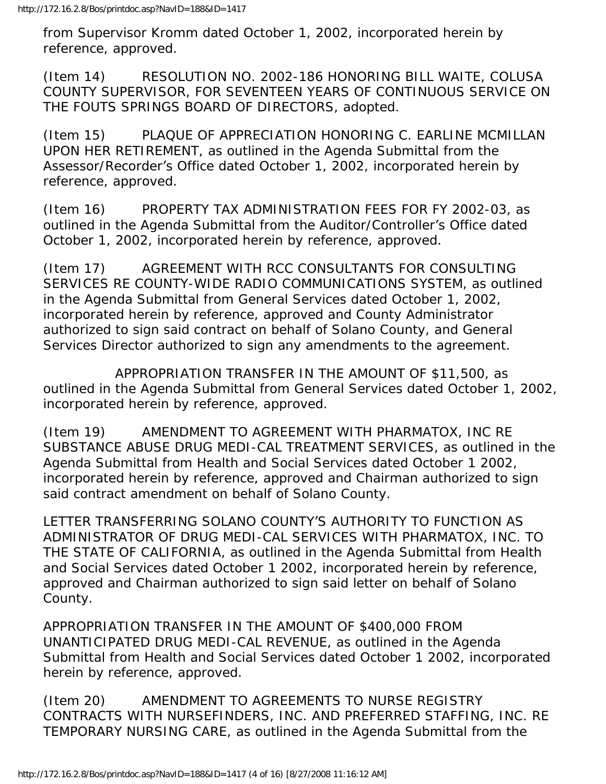from Supervisor Kromm dated October 1, 2002, incorporated herein by reference, approved.

(Item 14) RESOLUTION NO. 2002-186 HONORING BILL WAITE, COLUSA COUNTY SUPERVISOR, FOR SEVENTEEN YEARS OF CONTINUOUS SERVICE ON THE FOUTS SPRINGS BOARD OF DIRECTORS, adopted.

(Item 15) PLAQUE OF APPRECIATION HONORING C. EARLINE MCMILLAN UPON HER RETIREMENT, as outlined in the Agenda Submittal from the Assessor/Recorder's Office dated October 1, 2002, incorporated herein by reference, approved.

(Item 16) PROPERTY TAX ADMINISTRATION FEES FOR FY 2002-03, as outlined in the Agenda Submittal from the Auditor/Controller's Office dated October 1, 2002, incorporated herein by reference, approved.

(Item 17) AGREEMENT WITH RCC CONSULTANTS FOR CONSULTING SERVICES RE COUNTY-WIDE RADIO COMMUNICATIONS SYSTEM, as outlined in the Agenda Submittal from General Services dated October 1, 2002, incorporated herein by reference, approved and County Administrator authorized to sign said contract on behalf of Solano County, and General Services Director authorized to sign any amendments to the agreement.

 APPROPRIATION TRANSFER IN THE AMOUNT OF \$11,500, as outlined in the Agenda Submittal from General Services dated October 1, 2002, incorporated herein by reference, approved.

(Item 19) AMENDMENT TO AGREEMENT WITH PHARMATOX, INC RE SUBSTANCE ABUSE DRUG MEDI-CAL TREATMENT SERVICES, as outlined in the Agenda Submittal from Health and Social Services dated October 1 2002, incorporated herein by reference, approved and Chairman authorized to sign said contract amendment on behalf of Solano County.

LETTER TRANSFERRING SOLANO COUNTY'S AUTHORITY TO FUNCTION AS ADMINISTRATOR OF DRUG MEDI-CAL SERVICES WITH PHARMATOX, INC. TO THE STATE OF CALIFORNIA, as outlined in the Agenda Submittal from Health and Social Services dated October 1 2002, incorporated herein by reference, approved and Chairman authorized to sign said letter on behalf of Solano County.

APPROPRIATION TRANSFER IN THE AMOUNT OF \$400,000 FROM UNANTICIPATED DRUG MEDI-CAL REVENUE, as outlined in the Agenda Submittal from Health and Social Services dated October 1 2002, incorporated herein by reference, approved.

(Item 20) AMENDMENT TO AGREEMENTS TO NURSE REGISTRY CONTRACTS WITH NURSEFINDERS, INC. AND PREFERRED STAFFING, INC. RE TEMPORARY NURSING CARE, as outlined in the Agenda Submittal from the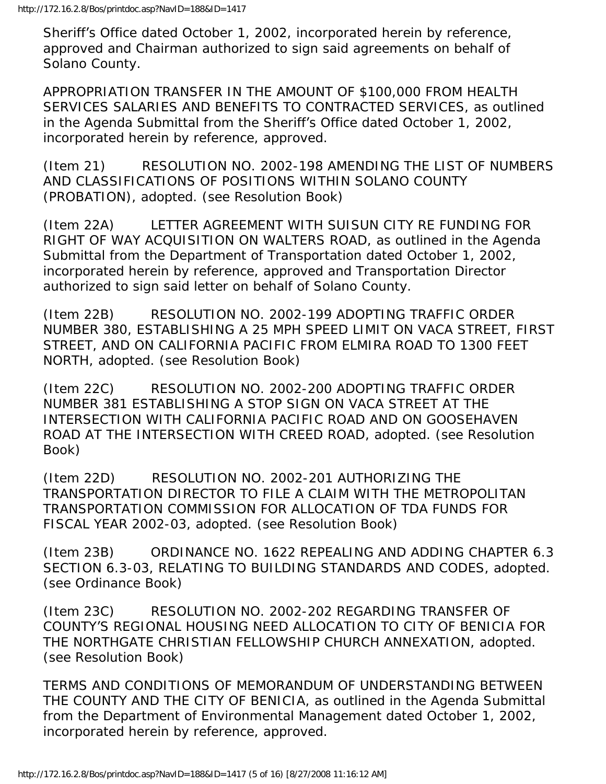Sheriff's Office dated October 1, 2002, incorporated herein by reference, approved and Chairman authorized to sign said agreements on behalf of Solano County.

APPROPRIATION TRANSFER IN THE AMOUNT OF \$100,000 FROM HEALTH SERVICES SALARIES AND BENEFITS TO CONTRACTED SERVICES, as outlined in the Agenda Submittal from the Sheriff's Office dated October 1, 2002, incorporated herein by reference, approved.

(Item 21) RESOLUTION NO. 2002-198 AMENDING THE LIST OF NUMBERS AND CLASSIFICATIONS OF POSITIONS WITHIN SOLANO COUNTY (PROBATION), adopted. (see Resolution Book)

(Item 22A) LETTER AGREEMENT WITH SUISUN CITY RE FUNDING FOR RIGHT OF WAY ACQUISITION ON WALTERS ROAD, as outlined in the Agenda Submittal from the Department of Transportation dated October 1, 2002, incorporated herein by reference, approved and Transportation Director authorized to sign said letter on behalf of Solano County.

(Item 22B) RESOLUTION NO. 2002-199 ADOPTING TRAFFIC ORDER NUMBER 380, ESTABLISHING A 25 MPH SPEED LIMIT ON VACA STREET, FIRST STREET, AND ON CALIFORNIA PACIFIC FROM ELMIRA ROAD TO 1300 FEET NORTH, adopted. (see Resolution Book)

(Item 22C) RESOLUTION NO. 2002-200 ADOPTING TRAFFIC ORDER NUMBER 381 ESTABLISHING A STOP SIGN ON VACA STREET AT THE INTERSECTION WITH CALIFORNIA PACIFIC ROAD AND ON GOOSEHAVEN ROAD AT THE INTERSECTION WITH CREED ROAD, adopted. (see Resolution Book)

(Item 22D) RESOLUTION NO. 2002-201 AUTHORIZING THE TRANSPORTATION DIRECTOR TO FILE A CLAIM WITH THE METROPOLITAN TRANSPORTATION COMMISSION FOR ALLOCATION OF TDA FUNDS FOR FISCAL YEAR 2002-03, adopted. (see Resolution Book)

(Item 23B) ORDINANCE NO. 1622 REPEALING AND ADDING CHAPTER 6.3 SECTION 6.3-03, RELATING TO BUILDING STANDARDS AND CODES, adopted. (see Ordinance Book)

(Item 23C) RESOLUTION NO. 2002-202 REGARDING TRANSFER OF COUNTY'S REGIONAL HOUSING NEED ALLOCATION TO CITY OF BENICIA FOR THE NORTHGATE CHRISTIAN FELLOWSHIP CHURCH ANNEXATION, adopted. (see Resolution Book)

TERMS AND CONDITIONS OF MEMORANDUM OF UNDERSTANDING BETWEEN THE COUNTY AND THE CITY OF BENICIA, as outlined in the Agenda Submittal from the Department of Environmental Management dated October 1, 2002, incorporated herein by reference, approved.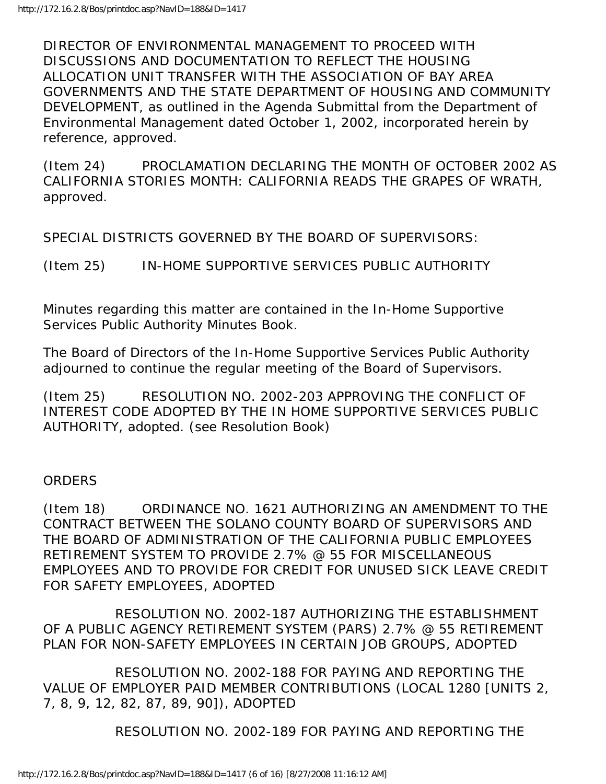DIRECTOR OF ENVIRONMENTAL MANAGEMENT TO PROCEED WITH DISCUSSIONS AND DOCUMENTATION TO REFLECT THE HOUSING ALLOCATION UNIT TRANSFER WITH THE ASSOCIATION OF BAY AREA GOVERNMENTS AND THE STATE DEPARTMENT OF HOUSING AND COMMUNITY DEVELOPMENT, as outlined in the Agenda Submittal from the Department of Environmental Management dated October 1, 2002, incorporated herein by reference, approved.

(Item 24) PROCLAMATION DECLARING THE MONTH OF OCTOBER 2002 AS CALIFORNIA STORIES MONTH: CALIFORNIA READS THE GRAPES OF WRATH, approved.

SPECIAL DISTRICTS GOVERNED BY THE BOARD OF SUPERVISORS:

(Item 25) IN-HOME SUPPORTIVE SERVICES PUBLIC AUTHORITY

Minutes regarding this matter are contained in the In-Home Supportive Services Public Authority Minutes Book.

The Board of Directors of the In-Home Supportive Services Public Authority adjourned to continue the regular meeting of the Board of Supervisors.

(Item 25) RESOLUTION NO. 2002-203 APPROVING THE CONFLICT OF INTEREST CODE ADOPTED BY THE IN HOME SUPPORTIVE SERVICES PUBLIC AUTHORITY, adopted. (see Resolution Book)

#### ORDERS

(Item 18) ORDINANCE NO. 1621 AUTHORIZING AN AMENDMENT TO THE CONTRACT BETWEEN THE SOLANO COUNTY BOARD OF SUPERVISORS AND THE BOARD OF ADMINISTRATION OF THE CALIFORNIA PUBLIC EMPLOYEES RETIREMENT SYSTEM TO PROVIDE 2.7% @ 55 FOR MISCELLANEOUS EMPLOYEES AND TO PROVIDE FOR CREDIT FOR UNUSED SICK LEAVE CREDIT FOR SAFETY EMPLOYEES, ADOPTED

 RESOLUTION NO. 2002-187 AUTHORIZING THE ESTABLISHMENT OF A PUBLIC AGENCY RETIREMENT SYSTEM (PARS) 2.7% @ 55 RETIREMENT PLAN FOR NON-SAFETY EMPLOYEES IN CERTAIN JOB GROUPS, ADOPTED

 RESOLUTION NO. 2002-188 FOR PAYING AND REPORTING THE VALUE OF EMPLOYER PAID MEMBER CONTRIBUTIONS (LOCAL 1280 [UNITS 2, 7, 8, 9, 12, 82, 87, 89, 90]), ADOPTED

RESOLUTION NO. 2002-189 FOR PAYING AND REPORTING THE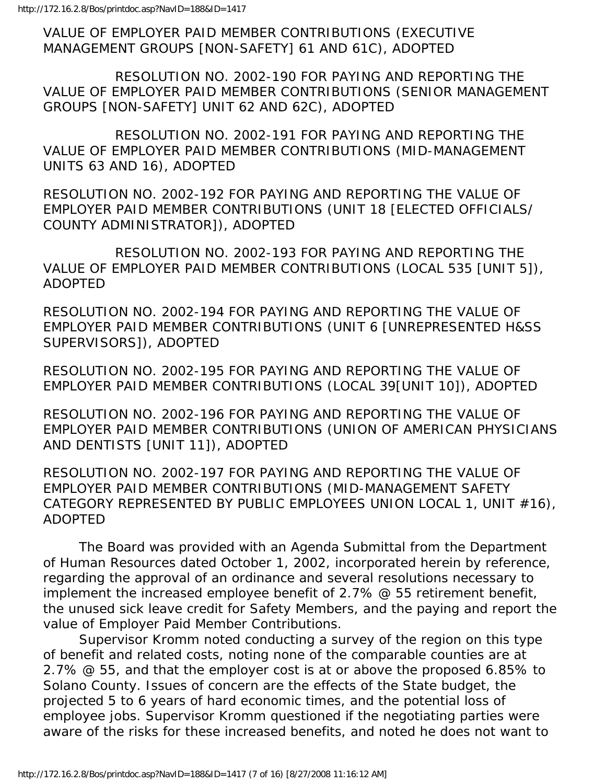VALUE OF EMPLOYER PAID MEMBER CONTRIBUTIONS (EXECUTIVE MANAGEMENT GROUPS [NON-SAFETY] 61 AND 61C), ADOPTED

 RESOLUTION NO. 2002-190 FOR PAYING AND REPORTING THE VALUE OF EMPLOYER PAID MEMBER CONTRIBUTIONS (SENIOR MANAGEMENT GROUPS [NON-SAFETY] UNIT 62 AND 62C), ADOPTED

 RESOLUTION NO. 2002-191 FOR PAYING AND REPORTING THE VALUE OF EMPLOYER PAID MEMBER CONTRIBUTIONS (MID-MANAGEMENT UNITS 63 AND 16), ADOPTED

RESOLUTION NO. 2002-192 FOR PAYING AND REPORTING THE VALUE OF EMPLOYER PAID MEMBER CONTRIBUTIONS (UNIT 18 [ELECTED OFFICIALS/ COUNTY ADMINISTRATOR]), ADOPTED

 RESOLUTION NO. 2002-193 FOR PAYING AND REPORTING THE VALUE OF EMPLOYER PAID MEMBER CONTRIBUTIONS (LOCAL 535 [UNIT 5]), ADOPTED

RESOLUTION NO. 2002-194 FOR PAYING AND REPORTING THE VALUE OF EMPLOYER PAID MEMBER CONTRIBUTIONS (UNIT 6 [UNREPRESENTED H&SS SUPERVISORS]), ADOPTED

RESOLUTION NO. 2002-195 FOR PAYING AND REPORTING THE VALUE OF EMPLOYER PAID MEMBER CONTRIBUTIONS (LOCAL 39[UNIT 10]), ADOPTED

RESOLUTION NO. 2002-196 FOR PAYING AND REPORTING THE VALUE OF EMPLOYER PAID MEMBER CONTRIBUTIONS (UNION OF AMERICAN PHYSICIANS AND DENTISTS [UNIT 11]), ADOPTED

RESOLUTION NO. 2002-197 FOR PAYING AND REPORTING THE VALUE OF EMPLOYER PAID MEMBER CONTRIBUTIONS (MID-MANAGEMENT SAFETY CATEGORY REPRESENTED BY PUBLIC EMPLOYEES UNION LOCAL 1, UNIT #16), ADOPTED

 The Board was provided with an Agenda Submittal from the Department of Human Resources dated October 1, 2002, incorporated herein by reference, regarding the approval of an ordinance and several resolutions necessary to implement the increased employee benefit of 2.7% @ 55 retirement benefit, the unused sick leave credit for Safety Members, and the paying and report the value of Employer Paid Member Contributions.

 Supervisor Kromm noted conducting a survey of the region on this type of benefit and related costs, noting none of the comparable counties are at 2.7% @ 55, and that the employer cost is at or above the proposed 6.85% to Solano County. Issues of concern are the effects of the State budget, the projected 5 to 6 years of hard economic times, and the potential loss of employee jobs. Supervisor Kromm questioned if the negotiating parties were aware of the risks for these increased benefits, and noted he does not want to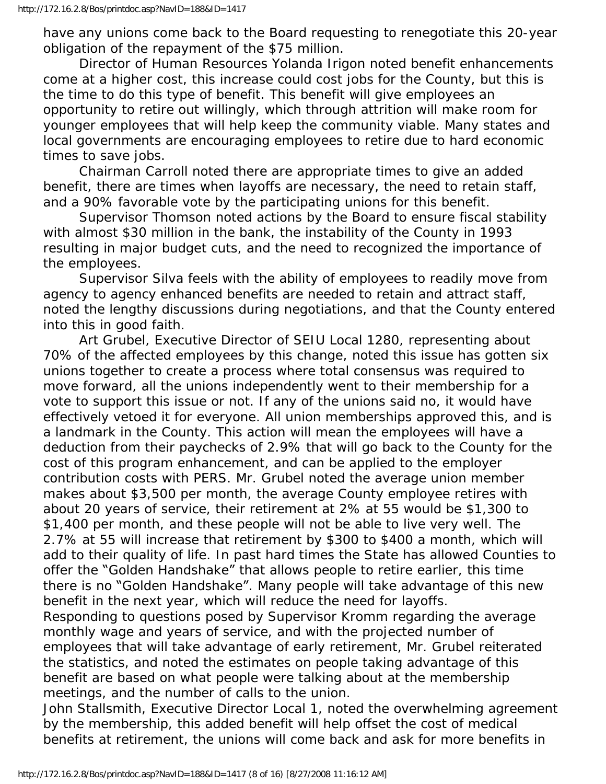have any unions come back to the Board requesting to renegotiate this 20-year obligation of the repayment of the \$75 million.

 Director of Human Resources Yolanda Irigon noted benefit enhancements come at a higher cost, this increase could cost jobs for the County, but this is the time to do this type of benefit. This benefit will give employees an opportunity to retire out willingly, which through attrition will make room for younger employees that will help keep the community viable. Many states and local governments are encouraging employees to retire due to hard economic times to save jobs.

 Chairman Carroll noted there are appropriate times to give an added benefit, there are times when layoffs are necessary, the need to retain staff, and a 90% favorable vote by the participating unions for this benefit.

 Supervisor Thomson noted actions by the Board to ensure fiscal stability with almost \$30 million in the bank, the instability of the County in 1993 resulting in major budget cuts, and the need to recognized the importance of the employees.

 Supervisor Silva feels with the ability of employees to readily move from agency to agency enhanced benefits are needed to retain and attract staff, noted the lengthy discussions during negotiations, and that the County entered into this in good faith.

 Art Grubel, Executive Director of SEIU Local 1280, representing about 70% of the affected employees by this change, noted this issue has gotten six unions together to create a process where total consensus was required to move forward, all the unions independently went to their membership for a vote to support this issue or not. If any of the unions said no, it would have effectively vetoed it for everyone. All union memberships approved this, and is a landmark in the County. This action will mean the employees will have a deduction from their paychecks of 2.9% that will go back to the County for the cost of this program enhancement, and can be applied to the employer contribution costs with PERS. Mr. Grubel noted the average union member makes about \$3,500 per month, the average County employee retires with about 20 years of service, their retirement at 2% at 55 would be \$1,300 to \$1,400 per month, and these people will not be able to live very well. The 2.7% at 55 will increase that retirement by \$300 to \$400 a month, which will add to their quality of life. In past hard times the State has allowed Counties to offer the "Golden Handshake" that allows people to retire earlier, this time there is no "Golden Handshake". Many people will take advantage of this new benefit in the next year, which will reduce the need for layoffs. Responding to questions posed by Supervisor Kromm regarding the average monthly wage and years of service, and with the projected number of employees that will take advantage of early retirement, Mr. Grubel reiterated the statistics, and noted the estimates on people taking advantage of this benefit are based on what people were talking about at the membership meetings, and the number of calls to the union.

John Stallsmith, Executive Director Local 1, noted the overwhelming agreement by the membership, this added benefit will help offset the cost of medical benefits at retirement, the unions will come back and ask for more benefits in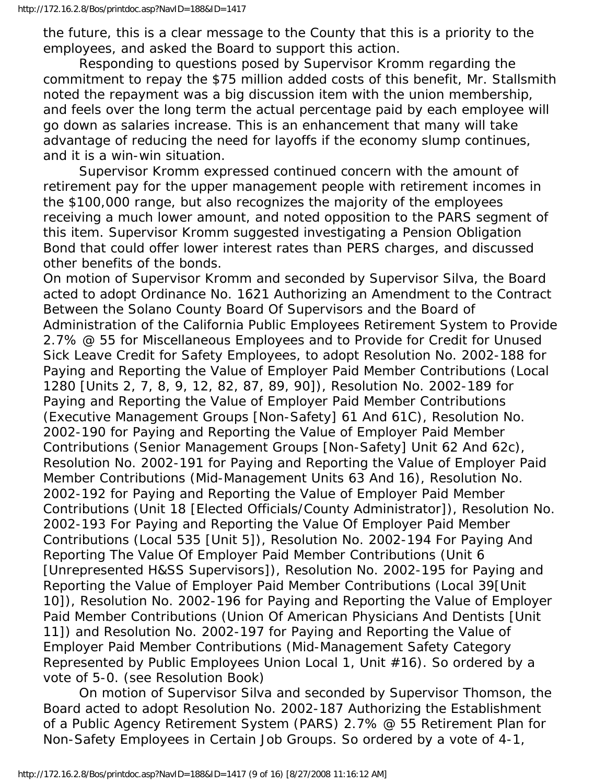the future, this is a clear message to the County that this is a priority to the employees, and asked the Board to support this action.

 Responding to questions posed by Supervisor Kromm regarding the commitment to repay the \$75 million added costs of this benefit, Mr. Stallsmith noted the repayment was a big discussion item with the union membership, and feels over the long term the actual percentage paid by each employee will go down as salaries increase. This is an enhancement that many will take advantage of reducing the need for layoffs if the economy slump continues, and it is a win-win situation.

 Supervisor Kromm expressed continued concern with the amount of retirement pay for the upper management people with retirement incomes in the \$100,000 range, but also recognizes the majority of the employees receiving a much lower amount, and noted opposition to the PARS segment of this item. Supervisor Kromm suggested investigating a Pension Obligation Bond that could offer lower interest rates than PERS charges, and discussed other benefits of the bonds.

On motion of Supervisor Kromm and seconded by Supervisor Silva, the Board acted to adopt Ordinance No. 1621 Authorizing an Amendment to the Contract Between the Solano County Board Of Supervisors and the Board of Administration of the California Public Employees Retirement System to Provide 2.7% @ 55 for Miscellaneous Employees and to Provide for Credit for Unused Sick Leave Credit for Safety Employees, to adopt Resolution No. 2002-188 for Paying and Reporting the Value of Employer Paid Member Contributions (Local 1280 [Units 2, 7, 8, 9, 12, 82, 87, 89, 90]), Resolution No. 2002-189 for Paying and Reporting the Value of Employer Paid Member Contributions (Executive Management Groups [Non-Safety] 61 And 61C), Resolution No. 2002-190 for Paying and Reporting the Value of Employer Paid Member Contributions (Senior Management Groups [Non-Safety] Unit 62 And 62c), Resolution No. 2002-191 for Paying and Reporting the Value of Employer Paid Member Contributions (Mid-Management Units 63 And 16), Resolution No. 2002-192 for Paying and Reporting the Value of Employer Paid Member Contributions (Unit 18 [Elected Officials/County Administrator]), Resolution No. 2002-193 For Paying and Reporting the Value Of Employer Paid Member Contributions (Local 535 [Unit 5]), Resolution No. 2002-194 For Paying And Reporting The Value Of Employer Paid Member Contributions (Unit 6 [Unrepresented H&SS Supervisors]), Resolution No. 2002-195 for Paying and Reporting the Value of Employer Paid Member Contributions (Local 39[Unit 10]), Resolution No. 2002-196 for Paying and Reporting the Value of Employer Paid Member Contributions (Union Of American Physicians And Dentists [Unit 11]) and Resolution No. 2002-197 for Paying and Reporting the Value of Employer Paid Member Contributions (Mid-Management Safety Category Represented by Public Employees Union Local 1, Unit #16). So ordered by a vote of 5-0. (see Resolution Book)

 On motion of Supervisor Silva and seconded by Supervisor Thomson, the Board acted to adopt Resolution No. 2002-187 Authorizing the Establishment of a Public Agency Retirement System (PARS) 2.7% @ 55 Retirement Plan for Non-Safety Employees in Certain Job Groups. So ordered by a vote of 4-1,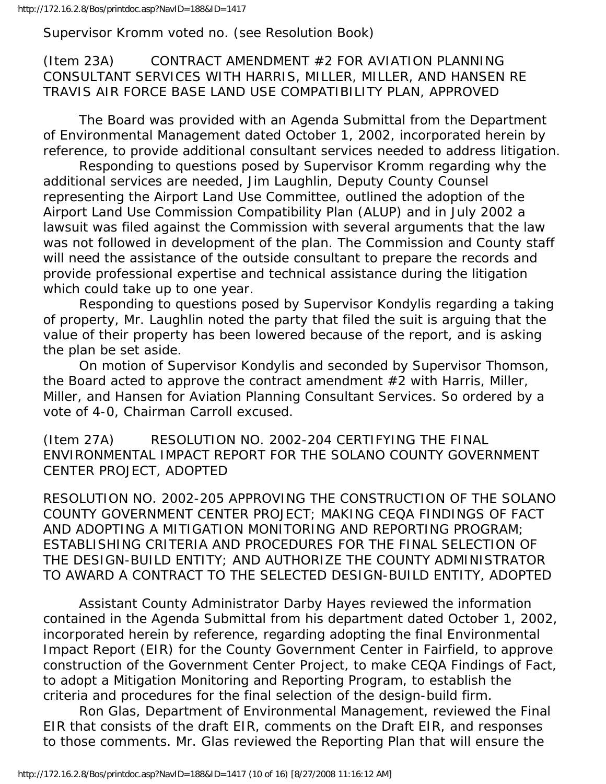http://172.16.2.8/Bos/printdoc.asp?NavID=188&ID=1417

Supervisor Kromm voted no. (see Resolution Book)

## (Item 23A) CONTRACT AMENDMENT #2 FOR AVIATION PLANNING CONSULTANT SERVICES WITH HARRIS, MILLER, MILLER, AND HANSEN RE TRAVIS AIR FORCE BASE LAND USE COMPATIBILITY PLAN, APPROVED

 The Board was provided with an Agenda Submittal from the Department of Environmental Management dated October 1, 2002, incorporated herein by reference, to provide additional consultant services needed to address litigation.

 Responding to questions posed by Supervisor Kromm regarding why the additional services are needed, Jim Laughlin, Deputy County Counsel representing the Airport Land Use Committee, outlined the adoption of the Airport Land Use Commission Compatibility Plan (ALUP) and in July 2002 a lawsuit was filed against the Commission with several arguments that the law was not followed in development of the plan. The Commission and County staff will need the assistance of the outside consultant to prepare the records and provide professional expertise and technical assistance during the litigation which could take up to one year.

 Responding to questions posed by Supervisor Kondylis regarding a taking of property, Mr. Laughlin noted the party that filed the suit is arguing that the value of their property has been lowered because of the report, and is asking the plan be set aside.

 On motion of Supervisor Kondylis and seconded by Supervisor Thomson, the Board acted to approve the contract amendment #2 with Harris, Miller, Miller, and Hansen for Aviation Planning Consultant Services. So ordered by a vote of 4-0, Chairman Carroll excused.

(Item 27A) RESOLUTION NO. 2002-204 CERTIFYING THE FINAL ENVIRONMENTAL IMPACT REPORT FOR THE SOLANO COUNTY GOVERNMENT CENTER PROJECT, ADOPTED

RESOLUTION NO. 2002-205 APPROVING THE CONSTRUCTION OF THE SOLANO COUNTY GOVERNMENT CENTER PROJECT; MAKING CEQA FINDINGS OF FACT AND ADOPTING A MITIGATION MONITORING AND REPORTING PROGRAM; ESTABLISHING CRITERIA AND PROCEDURES FOR THE FINAL SELECTION OF THE DESIGN-BUILD ENTITY; AND AUTHORIZE THE COUNTY ADMINISTRATOR TO AWARD A CONTRACT TO THE SELECTED DESIGN-BUILD ENTITY, ADOPTED

 Assistant County Administrator Darby Hayes reviewed the information contained in the Agenda Submittal from his department dated October 1, 2002, incorporated herein by reference, regarding adopting the final Environmental Impact Report (EIR) for the County Government Center in Fairfield, to approve construction of the Government Center Project, to make CEQA Findings of Fact, to adopt a Mitigation Monitoring and Reporting Program, to establish the criteria and procedures for the final selection of the design-build firm.

 Ron Glas, Department of Environmental Management, reviewed the Final EIR that consists of the draft EIR, comments on the Draft EIR, and responses to those comments. Mr. Glas reviewed the Reporting Plan that will ensure the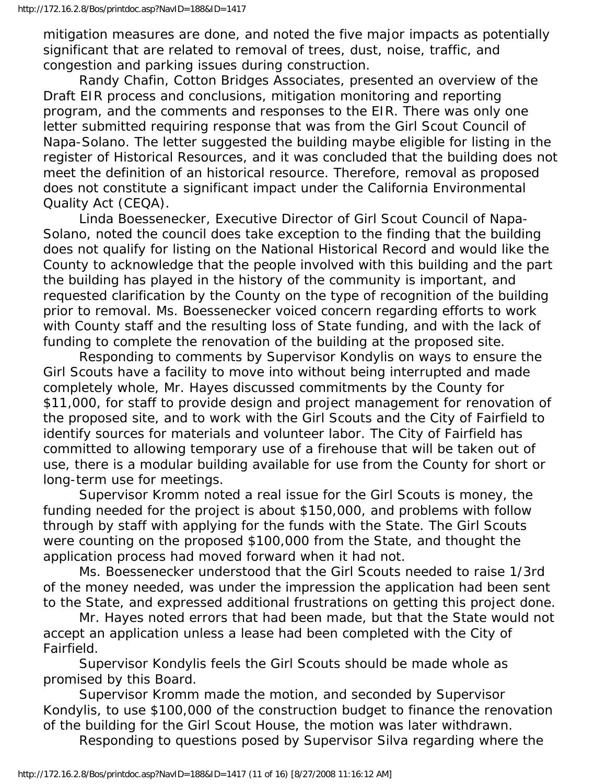mitigation measures are done, and noted the five major impacts as potentially significant that are related to removal of trees, dust, noise, traffic, and congestion and parking issues during construction.

 Randy Chafin, Cotton Bridges Associates, presented an overview of the Draft EIR process and conclusions, mitigation monitoring and reporting program, and the comments and responses to the EIR. There was only one letter submitted requiring response that was from the Girl Scout Council of Napa-Solano. The letter suggested the building maybe eligible for listing in the register of Historical Resources, and it was concluded that the building does not meet the definition of an historical resource. Therefore, removal as proposed does not constitute a significant impact under the California Environmental Quality Act (CEQA).

 Linda Boessenecker, Executive Director of Girl Scout Council of Napa-Solano, noted the council does take exception to the finding that the building does not qualify for listing on the National Historical Record and would like the County to acknowledge that the people involved with this building and the part the building has played in the history of the community is important, and requested clarification by the County on the type of recognition of the building prior to removal. Ms. Boessenecker voiced concern regarding efforts to work with County staff and the resulting loss of State funding, and with the lack of funding to complete the renovation of the building at the proposed site.

 Responding to comments by Supervisor Kondylis on ways to ensure the Girl Scouts have a facility to move into without being interrupted and made completely whole, Mr. Hayes discussed commitments by the County for \$11,000, for staff to provide design and project management for renovation of the proposed site, and to work with the Girl Scouts and the City of Fairfield to identify sources for materials and volunteer labor. The City of Fairfield has committed to allowing temporary use of a firehouse that will be taken out of use, there is a modular building available for use from the County for short or long-term use for meetings.

 Supervisor Kromm noted a real issue for the Girl Scouts is money, the funding needed for the project is about \$150,000, and problems with follow through by staff with applying for the funds with the State. The Girl Scouts were counting on the proposed \$100,000 from the State, and thought the application process had moved forward when it had not.

 Ms. Boessenecker understood that the Girl Scouts needed to raise 1/3rd of the money needed, was under the impression the application had been sent to the State, and expressed additional frustrations on getting this project done.

 Mr. Hayes noted errors that had been made, but that the State would not accept an application unless a lease had been completed with the City of Fairfield.

 Supervisor Kondylis feels the Girl Scouts should be made whole as promised by this Board.

 Supervisor Kromm made the motion, and seconded by Supervisor Kondylis, to use \$100,000 of the construction budget to finance the renovation of the building for the Girl Scout House, the motion was later withdrawn.

Responding to questions posed by Supervisor Silva regarding where the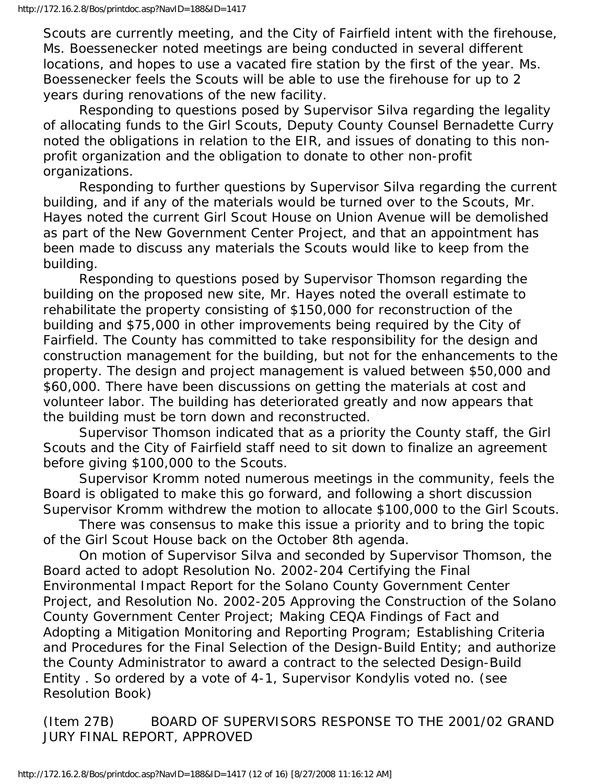Scouts are currently meeting, and the City of Fairfield intent with the firehouse, Ms. Boessenecker noted meetings are being conducted in several different locations, and hopes to use a vacated fire station by the first of the year. Ms. Boessenecker feels the Scouts will be able to use the firehouse for up to 2 years during renovations of the new facility.

 Responding to questions posed by Supervisor Silva regarding the legality of allocating funds to the Girl Scouts, Deputy County Counsel Bernadette Curry noted the obligations in relation to the EIR, and issues of donating to this nonprofit organization and the obligation to donate to other non-profit organizations.

 Responding to further questions by Supervisor Silva regarding the current building, and if any of the materials would be turned over to the Scouts, Mr. Hayes noted the current Girl Scout House on Union Avenue will be demolished as part of the New Government Center Project, and that an appointment has been made to discuss any materials the Scouts would like to keep from the building.

 Responding to questions posed by Supervisor Thomson regarding the building on the proposed new site, Mr. Hayes noted the overall estimate to rehabilitate the property consisting of \$150,000 for reconstruction of the building and \$75,000 in other improvements being required by the City of Fairfield. The County has committed to take responsibility for the design and construction management for the building, but not for the enhancements to the property. The design and project management is valued between \$50,000 and \$60,000. There have been discussions on getting the materials at cost and volunteer labor. The building has deteriorated greatly and now appears that the building must be torn down and reconstructed.

 Supervisor Thomson indicated that as a priority the County staff, the Girl Scouts and the City of Fairfield staff need to sit down to finalize an agreement before giving \$100,000 to the Scouts.

 Supervisor Kromm noted numerous meetings in the community, feels the Board is obligated to make this go forward, and following a short discussion Supervisor Kromm withdrew the motion to allocate \$100,000 to the Girl Scouts.

 There was consensus to make this issue a priority and to bring the topic of the Girl Scout House back on the October 8th agenda.

 On motion of Supervisor Silva and seconded by Supervisor Thomson, the Board acted to adopt Resolution No. 2002-204 Certifying the Final Environmental Impact Report for the Solano County Government Center Project, and Resolution No. 2002-205 Approving the Construction of the Solano County Government Center Project; Making CEQA Findings of Fact and Adopting a Mitigation Monitoring and Reporting Program; Establishing Criteria and Procedures for the Final Selection of the Design-Build Entity; and authorize the County Administrator to award a contract to the selected Design-Build Entity . So ordered by a vote of 4-1, Supervisor Kondylis voted no. (see Resolution Book)

(Item 27B) BOARD OF SUPERVISORS RESPONSE TO THE 2001/02 GRAND JURY FINAL REPORT, APPROVED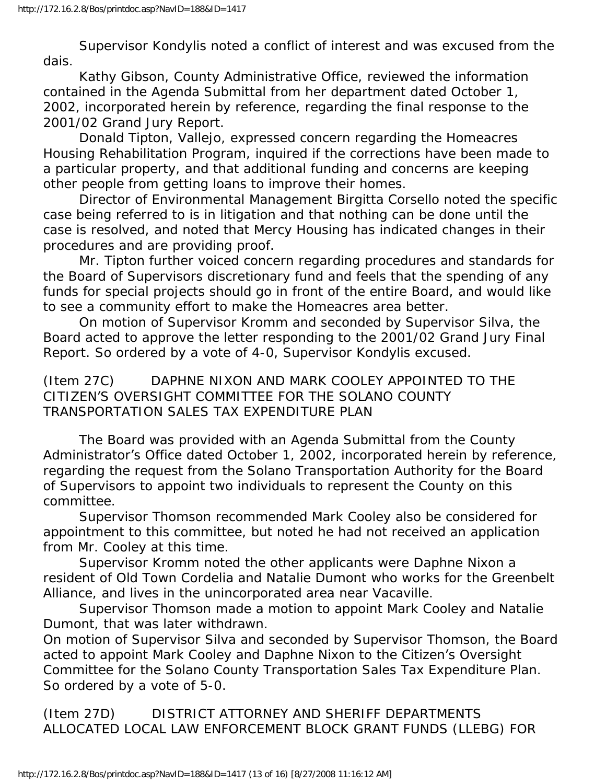Supervisor Kondylis noted a conflict of interest and was excused from the dais.

 Kathy Gibson, County Administrative Office, reviewed the information contained in the Agenda Submittal from her department dated October 1, 2002, incorporated herein by reference, regarding the final response to the 2001/02 Grand Jury Report.

 Donald Tipton, Vallejo, expressed concern regarding the Homeacres Housing Rehabilitation Program, inquired if the corrections have been made to a particular property, and that additional funding and concerns are keeping other people from getting loans to improve their homes.

 Director of Environmental Management Birgitta Corsello noted the specific case being referred to is in litigation and that nothing can be done until the case is resolved, and noted that Mercy Housing has indicated changes in their procedures and are providing proof.

 Mr. Tipton further voiced concern regarding procedures and standards for the Board of Supervisors discretionary fund and feels that the spending of any funds for special projects should go in front of the entire Board, and would like to see a community effort to make the Homeacres area better.

 On motion of Supervisor Kromm and seconded by Supervisor Silva, the Board acted to approve the letter responding to the 2001/02 Grand Jury Final Report. So ordered by a vote of 4-0, Supervisor Kondylis excused.

(Item 27C) DAPHNE NIXON AND MARK COOLEY APPOINTED TO THE CITIZEN'S OVERSIGHT COMMITTEE FOR THE SOLANO COUNTY TRANSPORTATION SALES TAX EXPENDITURE PLAN

 The Board was provided with an Agenda Submittal from the County Administrator's Office dated October 1, 2002, incorporated herein by reference, regarding the request from the Solano Transportation Authority for the Board of Supervisors to appoint two individuals to represent the County on this committee.

 Supervisor Thomson recommended Mark Cooley also be considered for appointment to this committee, but noted he had not received an application from Mr. Cooley at this time.

 Supervisor Kromm noted the other applicants were Daphne Nixon a resident of Old Town Cordelia and Natalie Dumont who works for the Greenbelt Alliance, and lives in the unincorporated area near Vacaville.

 Supervisor Thomson made a motion to appoint Mark Cooley and Natalie Dumont, that was later withdrawn.

On motion of Supervisor Silva and seconded by Supervisor Thomson, the Board acted to appoint Mark Cooley and Daphne Nixon to the Citizen's Oversight Committee for the Solano County Transportation Sales Tax Expenditure Plan. So ordered by a vote of 5-0.

(Item 27D) DISTRICT ATTORNEY AND SHERIFF DEPARTMENTS ALLOCATED LOCAL LAW ENFORCEMENT BLOCK GRANT FUNDS (LLEBG) FOR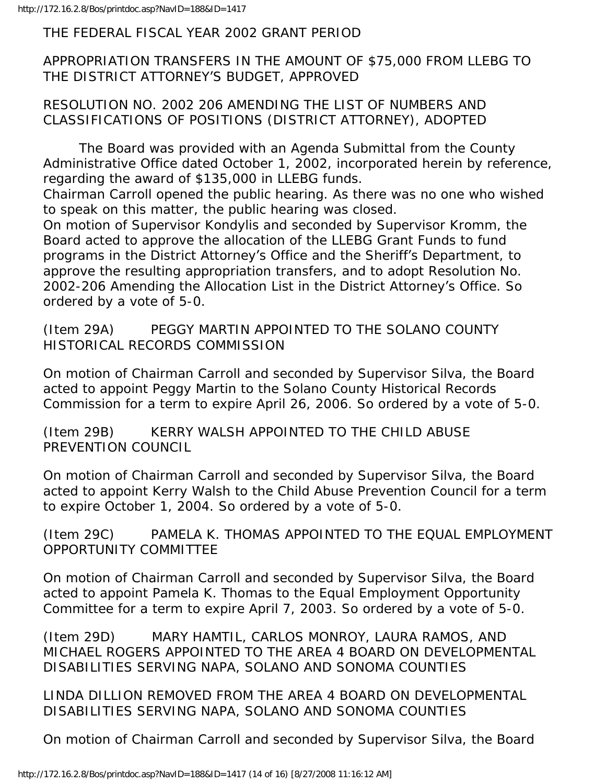THE FEDERAL FISCAL YEAR 2002 GRANT PERIOD

APPROPRIATION TRANSFERS IN THE AMOUNT OF \$75,000 FROM LLEBG TO THE DISTRICT ATTORNEY'S BUDGET, APPROVED

RESOLUTION NO. 2002 206 AMENDING THE LIST OF NUMBERS AND CLASSIFICATIONS OF POSITIONS (DISTRICT ATTORNEY), ADOPTED

 The Board was provided with an Agenda Submittal from the County Administrative Office dated October 1, 2002, incorporated herein by reference, regarding the award of \$135,000 in LLEBG funds.

Chairman Carroll opened the public hearing. As there was no one who wished to speak on this matter, the public hearing was closed.

On motion of Supervisor Kondylis and seconded by Supervisor Kromm, the Board acted to approve the allocation of the LLEBG Grant Funds to fund programs in the District Attorney's Office and the Sheriff's Department, to approve the resulting appropriation transfers, and to adopt Resolution No. 2002-206 Amending the Allocation List in the District Attorney's Office. So ordered by a vote of 5-0.

(Item 29A) PEGGY MARTIN APPOINTED TO THE SOLANO COUNTY HISTORICAL RECORDS COMMISSION

On motion of Chairman Carroll and seconded by Supervisor Silva, the Board acted to appoint Peggy Martin to the Solano County Historical Records Commission for a term to expire April 26, 2006. So ordered by a vote of 5-0.

(Item 29B) KERRY WALSH APPOINTED TO THE CHILD ABUSE PREVENTION COUNCIL

On motion of Chairman Carroll and seconded by Supervisor Silva, the Board acted to appoint Kerry Walsh to the Child Abuse Prevention Council for a term to expire October 1, 2004. So ordered by a vote of 5-0.

(Item 29C) PAMELA K. THOMAS APPOINTED TO THE EQUAL EMPLOYMENT OPPORTUNITY COMMITTEE

On motion of Chairman Carroll and seconded by Supervisor Silva, the Board acted to appoint Pamela K. Thomas to the Equal Employment Opportunity Committee for a term to expire April 7, 2003. So ordered by a vote of 5-0.

(Item 29D) MARY HAMTIL, CARLOS MONROY, LAURA RAMOS, AND MICHAEL ROGERS APPOINTED TO THE AREA 4 BOARD ON DEVELOPMENTAL DISABILITIES SERVING NAPA, SOLANO AND SONOMA COUNTIES

LINDA DILLION REMOVED FROM THE AREA 4 BOARD ON DEVELOPMENTAL DISABILITIES SERVING NAPA, SOLANO AND SONOMA COUNTIES

On motion of Chairman Carroll and seconded by Supervisor Silva, the Board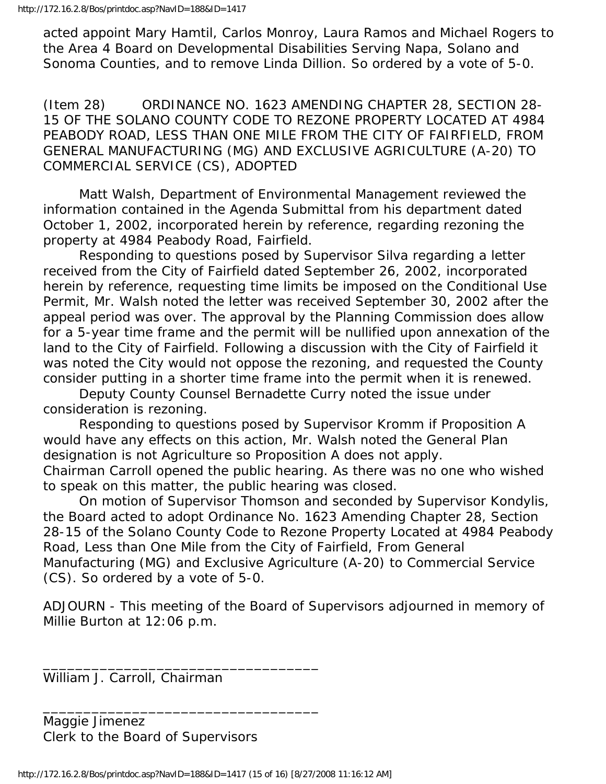acted appoint Mary Hamtil, Carlos Monroy, Laura Ramos and Michael Rogers to the Area 4 Board on Developmental Disabilities Serving Napa, Solano and Sonoma Counties, and to remove Linda Dillion. So ordered by a vote of 5-0.

(Item 28) ORDINANCE NO. 1623 AMENDING CHAPTER 28, SECTION 28- 15 OF THE SOLANO COUNTY CODE TO REZONE PROPERTY LOCATED AT 4984 PEABODY ROAD, LESS THAN ONE MILE FROM THE CITY OF FAIRFIELD, FROM GENERAL MANUFACTURING (MG) AND EXCLUSIVE AGRICULTURE (A-20) TO COMMERCIAL SERVICE (CS), ADOPTED

 Matt Walsh, Department of Environmental Management reviewed the information contained in the Agenda Submittal from his department dated October 1, 2002, incorporated herein by reference, regarding rezoning the property at 4984 Peabody Road, Fairfield.

 Responding to questions posed by Supervisor Silva regarding a letter received from the City of Fairfield dated September 26, 2002, incorporated herein by reference, requesting time limits be imposed on the Conditional Use Permit, Mr. Walsh noted the letter was received September 30, 2002 after the appeal period was over. The approval by the Planning Commission does allow for a 5-year time frame and the permit will be nullified upon annexation of the land to the City of Fairfield. Following a discussion with the City of Fairfield it was noted the City would not oppose the rezoning, and requested the County consider putting in a shorter time frame into the permit when it is renewed.

 Deputy County Counsel Bernadette Curry noted the issue under consideration is rezoning.

 Responding to questions posed by Supervisor Kromm if Proposition A would have any effects on this action, Mr. Walsh noted the General Plan designation is not Agriculture so Proposition A does not apply. Chairman Carroll opened the public hearing. As there was no one who wished to speak on this matter, the public hearing was closed.

 On motion of Supervisor Thomson and seconded by Supervisor Kondylis, the Board acted to adopt Ordinance No. 1623 Amending Chapter 28, Section 28-15 of the Solano County Code to Rezone Property Located at 4984 Peabody Road, Less than One Mile from the City of Fairfield, From General Manufacturing (MG) and Exclusive Agriculture (A-20) to Commercial Service (CS). So ordered by a vote of 5-0.

ADJOURN - This meeting of the Board of Supervisors adjourned in memory of Millie Burton at 12:06 p.m.

William J. Carroll, Chairman

Maggie Jimenez Clerk to the Board of Supervisors

\_\_\_\_\_\_\_\_\_\_\_\_\_\_\_\_\_\_\_\_\_\_\_\_\_\_\_\_\_\_\_\_\_\_

\_\_\_\_\_\_\_\_\_\_\_\_\_\_\_\_\_\_\_\_\_\_\_\_\_\_\_\_\_\_\_\_\_\_